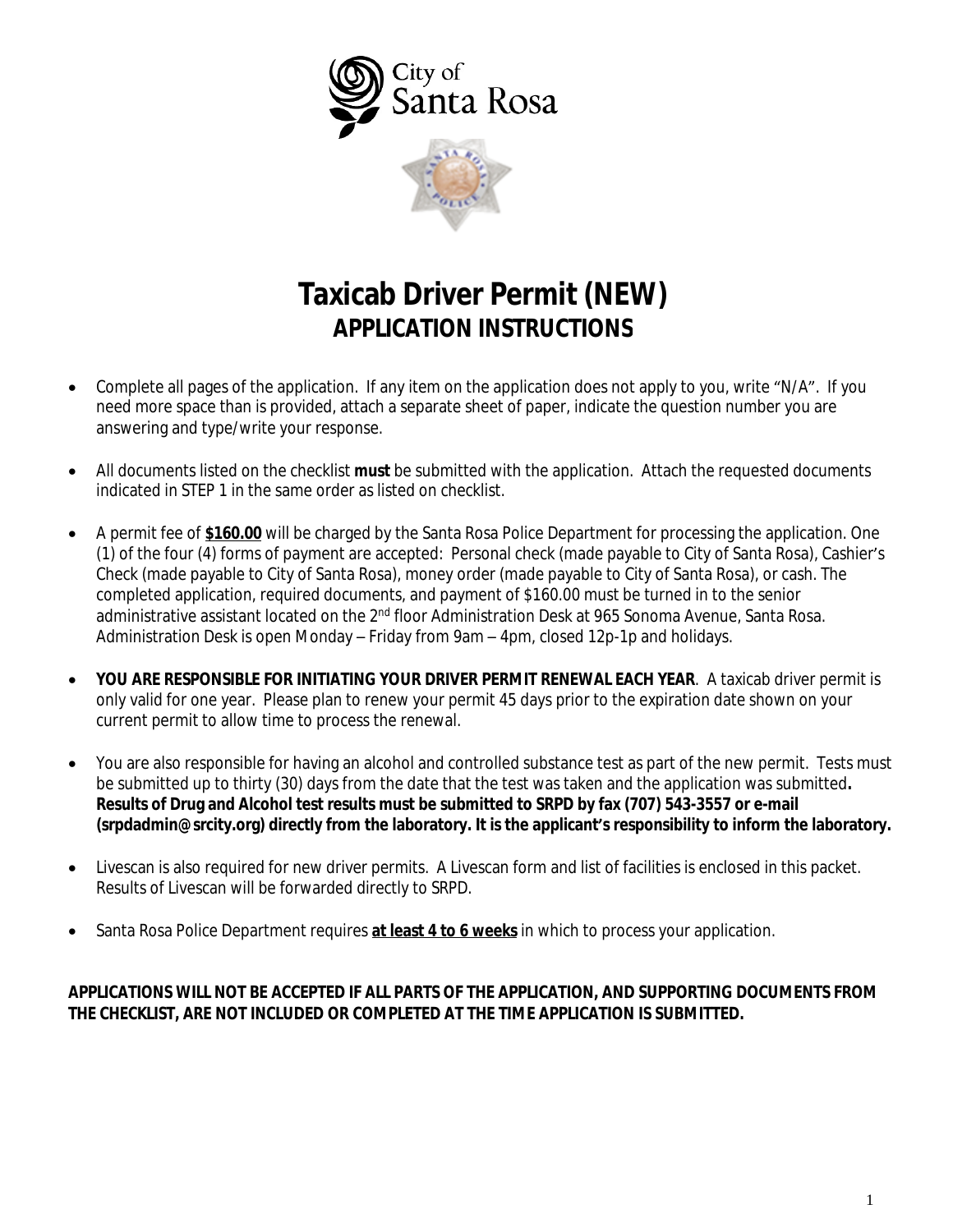

# **Taxicab Driver Permit (NEW) APPLICATION INSTRUCTIONS**

- Complete all pages of the application. If any item on the application does not apply to you, write "N/A". If you need more space than is provided, attach a separate sheet of paper, indicate the question number you are answering and type/write your response.
- All documents listed on the checklist **must** be submitted with the application. Attach the requested documents indicated in STEP 1 in the same order as listed on checklist.
- A permit fee of **\$160.00** will be charged by the Santa Rosa Police Department for processing the application. One (1) of the four (4) forms of payment are accepted: Personal check (made payable to City of Santa Rosa), Cashier's Check (made payable to City of Santa Rosa), money order (made payable to City of Santa Rosa), or cash. The completed application, required documents, and payment of \$160.00 must be turned in to the senior administrative assistant located on the 2<sup>nd</sup> floor Administration Desk at 965 Sonoma Avenue, Santa Rosa. Administration Desk is open Monday – Friday from 9am – 4pm, closed 12p-1p and holidays.
- **YOU ARE RESPONSIBLE FOR INITIATING YOUR DRIVER PERMIT RENEWAL EACH YEAR**. A taxicab driver permit is only valid for one year. Please plan to renew your permit 45 days prior to the expiration date shown on your current permit to allow time to process the renewal.
- You are also responsible for having an alcohol and controlled substance test as part of the new permit. Tests must be submitted up to thirty (30) days from the date that the test was taken and the application was submitted**. Results of Drug and Alcohol test results must be submitted to SRPD by fax (707) 543-3557 or e-mail [\(srpdadmin@srcity.org\)](mailto:srpdadmin@srcity.org) directly from the laboratory. It is the applicant's responsibility to inform the laboratory.**
- Livescan is also required for new driver permits. A Livescan form and list of facilities is enclosed in this packet. Results of Livescan will be forwarded directly to SRPD.
- Santa Rosa Police Department requires **at least 4 to 6 weeks** in which to process your application.

### **APPLICATIONS WILL NOT BE ACCEPTED IF ALL PARTS OF THE APPLICATION, AND SUPPORTING DOCUMENTS FROM THE CHECKLIST, ARE NOT INCLUDED OR COMPLETED AT THE TIME APPLICATION IS SUBMITTED.**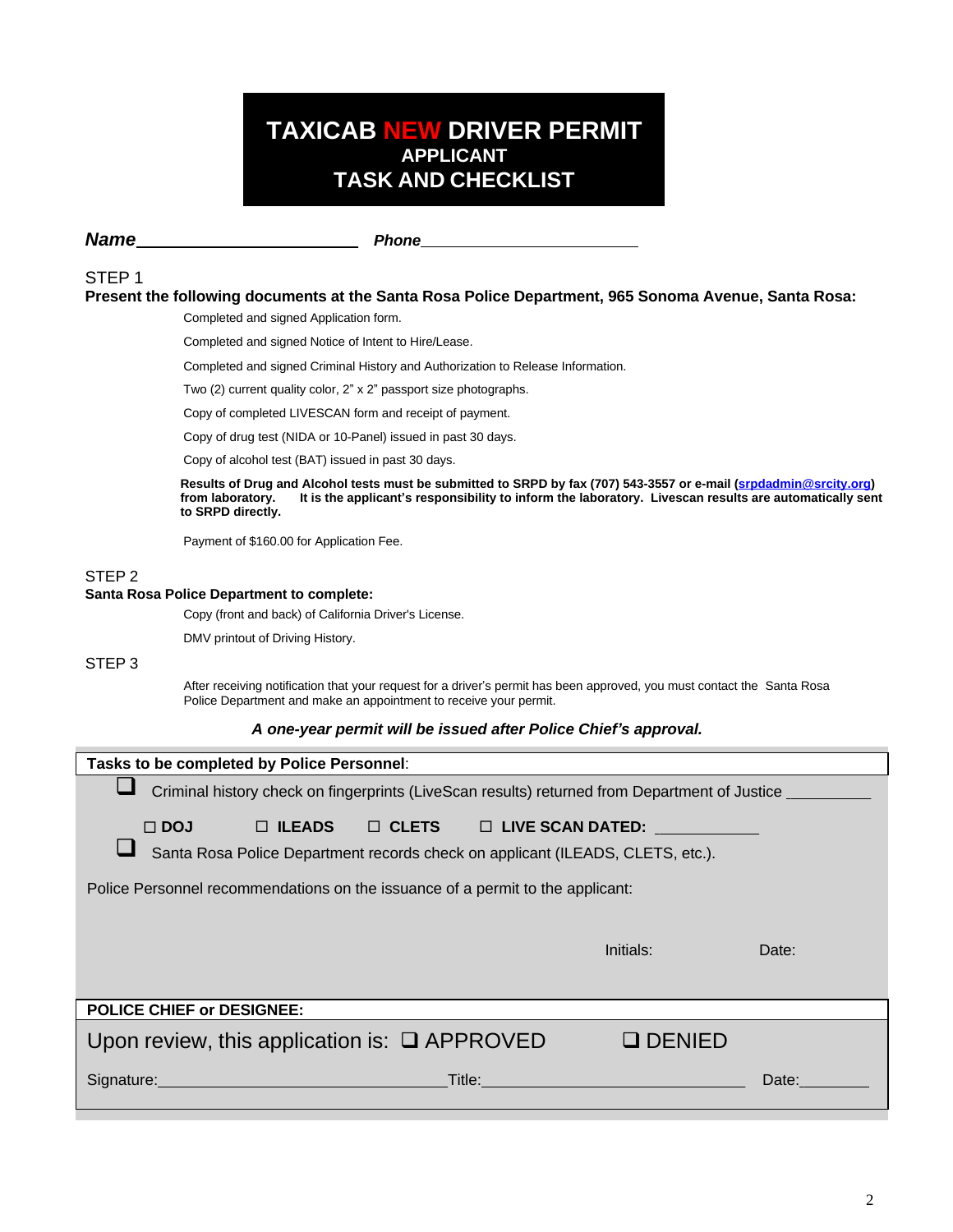## **TAXICAB NEW DRIVER PERMIT APPLICANT TASK AND CHECKLIST**

**Name** Phone

#### STEP 1

#### **Present the following documents at the Santa Rosa Police Department, 965 Sonoma Avenue, Santa Rosa:**

Completed and signed Application form.

Completed and signed Notice of Intent to Hire/Lease.

Completed and signed Criminal History and Authorization to Release Information.

Two (2) current quality color, 2" x 2" passport size photographs.

Copy of completed LIVESCAN form and receipt of payment.

Copy of drug test (NIDA or 10-Panel) issued in past 30 days.

Copy of alcohol test (BAT) issued in past 30 days.

**Results of Drug and Alcohol tests must be submitted to SRPD by fax (707) 543-3557 or e-mail ([srpdadmin@srcity.org\)](mailto:srpdadmin@srcity.org) from laboratory. It is the applicant's responsibility to inform the laboratory. Livescan results are automatically sent to SRPD directly.**

Payment of \$160.00 for Application Fee.

#### STEP 2

#### **Santa Rosa Police Department to complete:**

Copy (front and back) of California Driver's License.

DMV printout of Driving History.

#### STEP 3

After receiving notification that your request for a driver's permit has been approved, you must contact the Santa Rosa Police Department and make an appointment to receive your permit.

#### *A one-year permit will be issued after Police Chief's approval.*

| Tasks to be completed by Police Personnel:                                                                                                                                                                                     |                                                                                                                       |       |  |  |
|--------------------------------------------------------------------------------------------------------------------------------------------------------------------------------------------------------------------------------|-----------------------------------------------------------------------------------------------------------------------|-------|--|--|
| Criminal history check on fingerprints (LiveScan results) returned from Department of Justice _____                                                                                                                            |                                                                                                                       |       |  |  |
| $\Box$ ILEADS $\Box$ CLETS $\Box$ LIVE SCAN DATED: $\Box$<br>$\Box$ DOJ<br>Santa Rosa Police Department records check on applicant (ILEADS, CLETS, etc.).                                                                      |                                                                                                                       |       |  |  |
| Police Personnel recommendations on the issuance of a permit to the applicant:                                                                                                                                                 |                                                                                                                       |       |  |  |
|                                                                                                                                                                                                                                | Initials:                                                                                                             | Date: |  |  |
| <b>POLICE CHIEF or DESIGNEE:</b>                                                                                                                                                                                               |                                                                                                                       |       |  |  |
| Upon review, this application is: $\Box$ APPROVED                                                                                                                                                                              | $\Box$ DENIED                                                                                                         |       |  |  |
| Signature: Management of the Contract of the Contract of the Contract of the Contract of the Contract of the Contract of the Contract of the Contract of the Contract of the Contract of the Contract of the Contract of the C | <b>Title:</b> Title: The Company of the Company of the Company of the Company of the Company of the Company of the Co | Date: |  |  |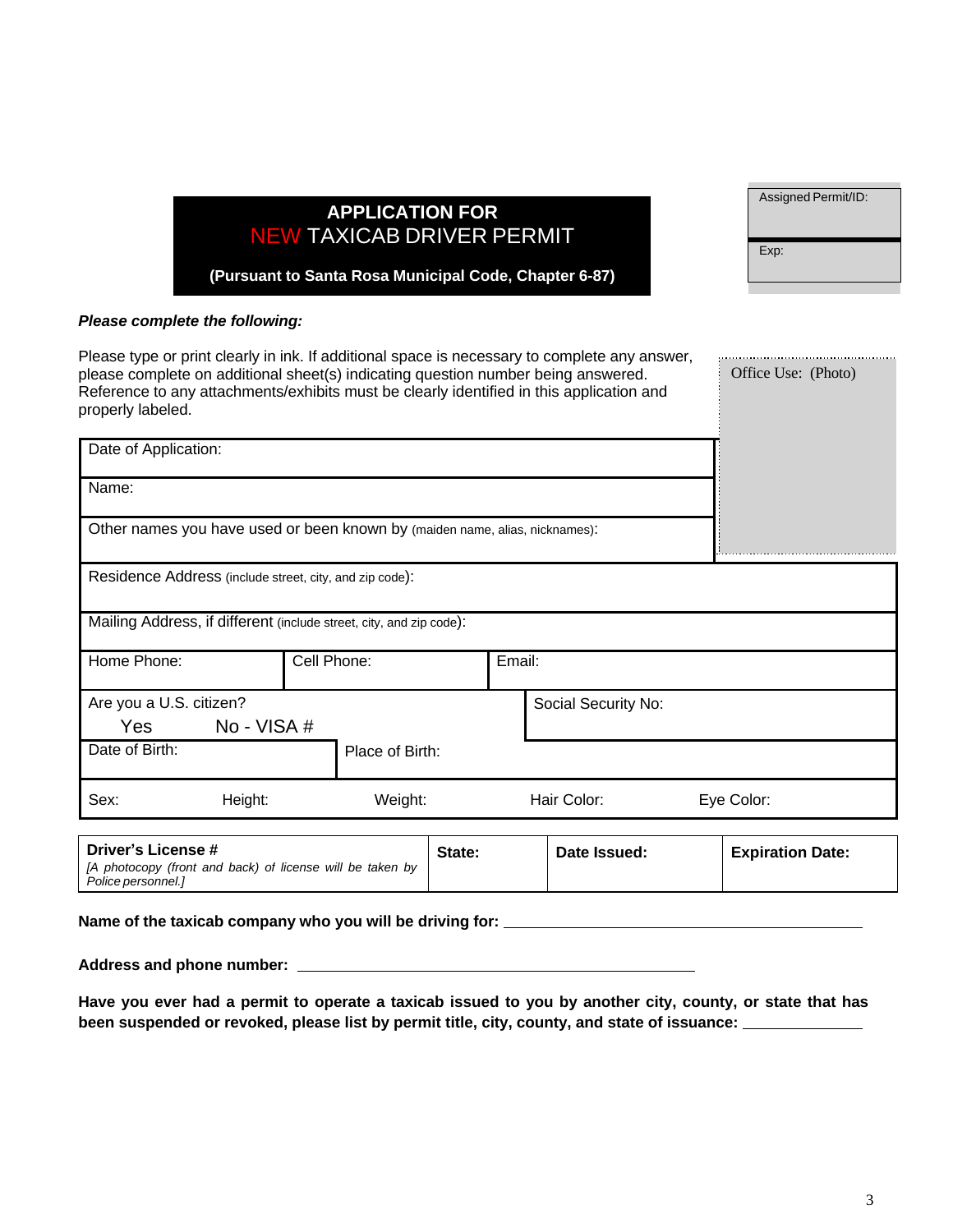|                                |                                                                                                                                                                                                                                                                                |             | <u>I LIVATIVN I VIV</u><br><b>NEW TAXICAB DRIVER PERMIT</b> |        |        |                     |                         |
|--------------------------------|--------------------------------------------------------------------------------------------------------------------------------------------------------------------------------------------------------------------------------------------------------------------------------|-------------|-------------------------------------------------------------|--------|--------|---------------------|-------------------------|
|                                | (Pursuant to Santa Rosa Municipal Code, Chapter 6-87)                                                                                                                                                                                                                          |             |                                                             |        |        | Exp:                |                         |
|                                | Please complete the following:                                                                                                                                                                                                                                                 |             |                                                             |        |        |                     |                         |
| properly labeled.              | Please type or print clearly in ink. If additional space is necessary to complete any answer,<br>please complete on additional sheet(s) indicating question number being answered.<br>Reference to any attachments/exhibits must be clearly identified in this application and |             |                                                             |        |        |                     | Office Use: (Photo)     |
| Date of Application:           |                                                                                                                                                                                                                                                                                |             |                                                             |        |        |                     |                         |
| Name:                          |                                                                                                                                                                                                                                                                                |             |                                                             |        |        |                     |                         |
|                                | Other names you have used or been known by (maiden name, alias, nicknames):                                                                                                                                                                                                    |             |                                                             |        |        |                     |                         |
|                                | Residence Address (include street, city, and zip code):                                                                                                                                                                                                                        |             |                                                             |        |        |                     |                         |
|                                | Mailing Address, if different (include street, city, and zip code):                                                                                                                                                                                                            |             |                                                             |        |        |                     |                         |
| Home Phone:                    |                                                                                                                                                                                                                                                                                | Cell Phone: |                                                             |        | Email: |                     |                         |
| Are you a U.S. citizen?<br>Yes | No - VISA #                                                                                                                                                                                                                                                                    |             |                                                             |        |        | Social Security No: |                         |
| Date of Birth:                 |                                                                                                                                                                                                                                                                                |             | Place of Birth:                                             |        |        |                     |                         |
| Sex:                           | Height:                                                                                                                                                                                                                                                                        |             | Weight:                                                     |        |        | Hair Color:         | Eye Color:              |
| <b>Driver's License #</b>      |                                                                                                                                                                                                                                                                                |             |                                                             | State: |        | Date Issued:        | <b>Expiration Date:</b> |

**APPLICATION FOR**

*[A photocopy (front and back) of license will be taken by Police personnel.]*

**Name of the taxicab company who you will be driving for:** 

**Address and phone number:** 

Have you ever had a permit to operate a taxicab issued to you by another city, county, or state that has **been suspended or revoked, please list by permit title, city, county, and state of issuance:** 

Assigned Permit/ID: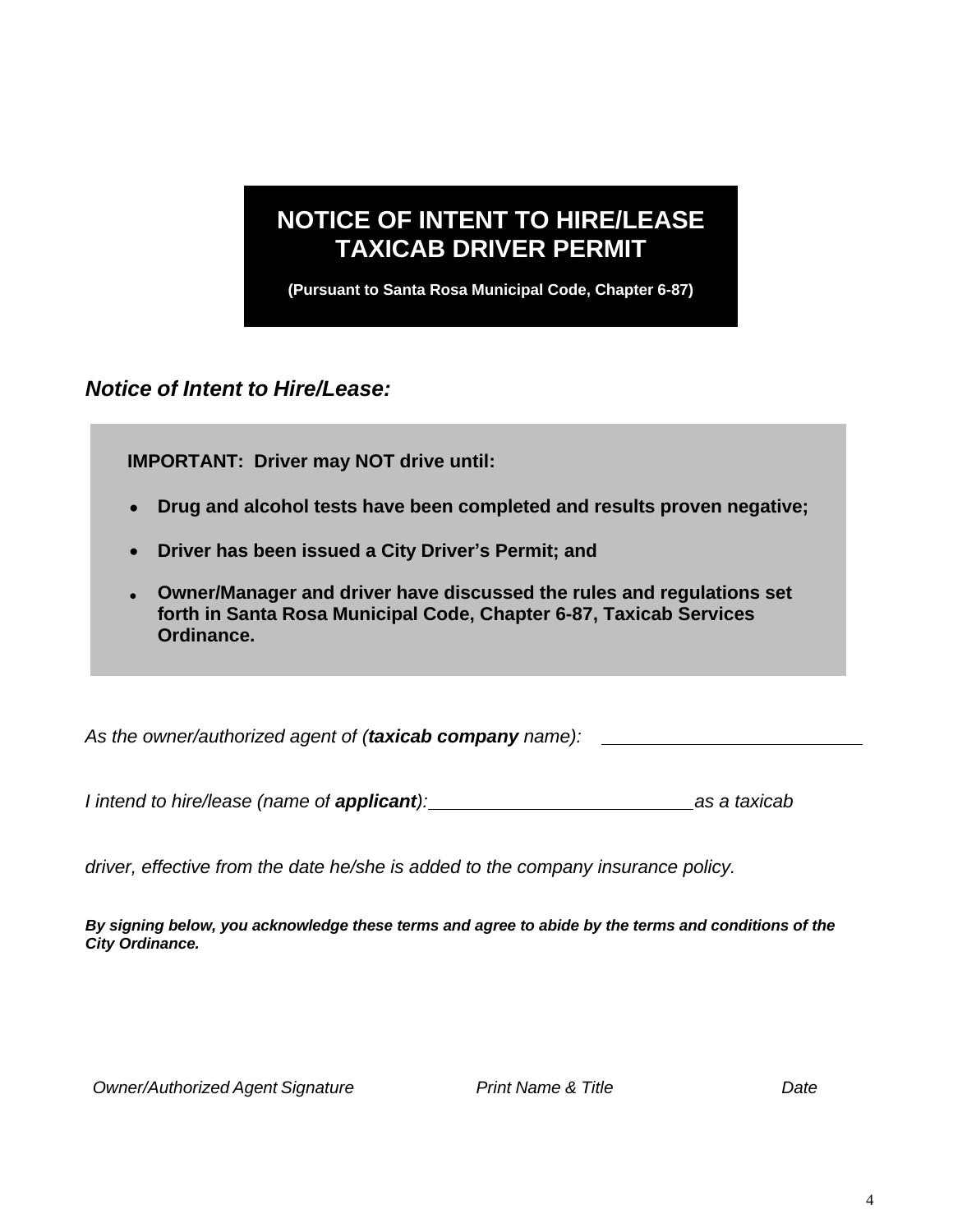# **NOTICE OF INTENT TO HIRE/LEASE TAXICAB DRIVER PERMIT**

**(Pursuant to Santa Rosa Municipal Code, Chapter 6-87)**

*Notice of Intent to Hire/Lease:*

**IMPORTANT: Driver may NOT drive until:**

- **Drug and alcohol tests have been completed and results proven negative;**
- **Driver has been issued a City Driver's Permit; and**
- **Owner/Manager and driver have discussed the rules and regulations set forth in Santa Rosa Municipal Code, Chapter 6-87, Taxicab Services Ordinance.**

*As the owner/authorized agent of (taxicab company name):* 

*I intend to hire/lease (name of applicant): as a taxicab*

*driver, effective from the date he/she is added to the company insurance policy.*

By signing below, you acknowledge these terms and agree to abide by the terms and conditions of the *City Ordinance.*

*Owner/Authorized Agent Signature Print Name & Title Date*